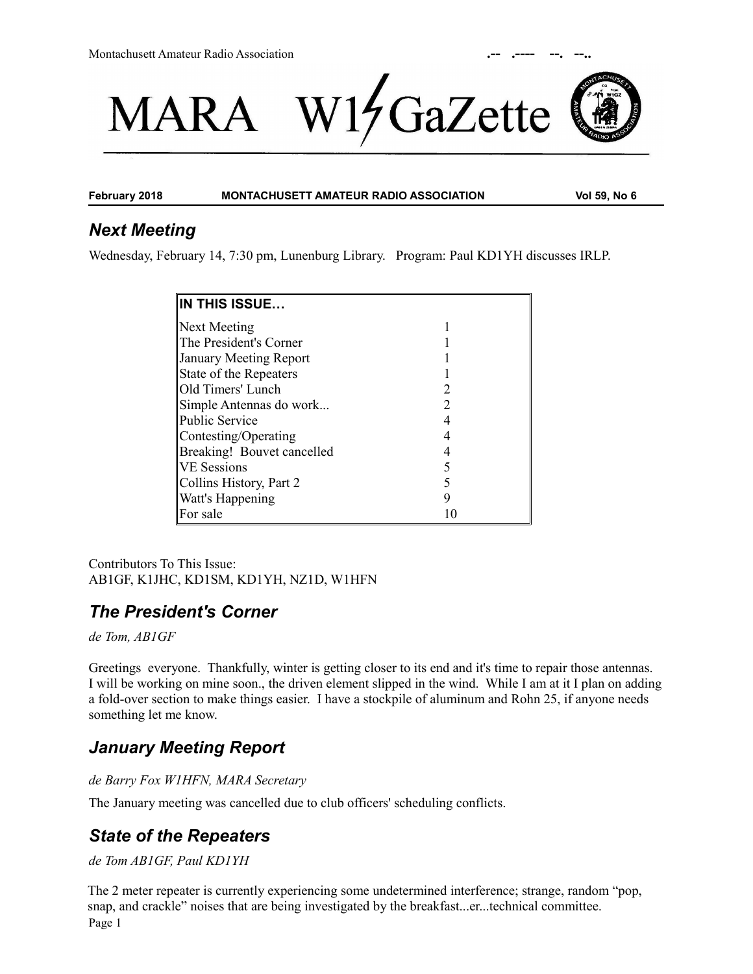



**February 2018 MONTACHUSETT AMATEUR RADIO ASSOCIATION Vol 59, No 6**

# *Next Meeting*

Wednesday, February 14, 7:30 pm, Lunenburg Library. Program: Paul KD1YH discusses IRLP.

| <b>IN THIS ISSUE</b>          |               |
|-------------------------------|---------------|
| Next Meeting                  |               |
| The President's Corner        |               |
| <b>January Meeting Report</b> |               |
| State of the Repeaters        |               |
| Old Timers' Lunch             |               |
| Simple Antennas do work       | $\mathcal{D}$ |
| <b>Public Service</b>         |               |
| Contesting/Operating          |               |
| Breaking! Bouvet cancelled    |               |
| <b>VE</b> Sessions            |               |
| Collins History, Part 2       |               |
| Watt's Happening              | 9             |
| For sale                      | 10            |

Contributors To This Issue: AB1GF, K1JHC, KD1SM, KD1YH, NZ1D, W1HFN

# *The President's Corner*

*de Tom, AB1GF*

Greetings everyone. Thankfully, winter is getting closer to its end and it's time to repair those antennas. I will be working on mine soon., the driven element slipped in the wind. While I am at it I plan on adding a fold-over section to make things easier. I have a stockpile of aluminum and Rohn 25, if anyone needs something let me know.

# *January Meeting Report*

*de Barry Fox W1HFN, MARA Secretary*

The January meeting was cancelled due to club officers' scheduling conflicts.

# *State of the Repeaters*

#### *de Tom AB1GF, Paul KD1YH*

The 2 meter repeater is currently experiencing some undetermined interference; strange, random "pop, snap, and crackle" noises that are being investigated by the breakfast...er...technical committee. Page 1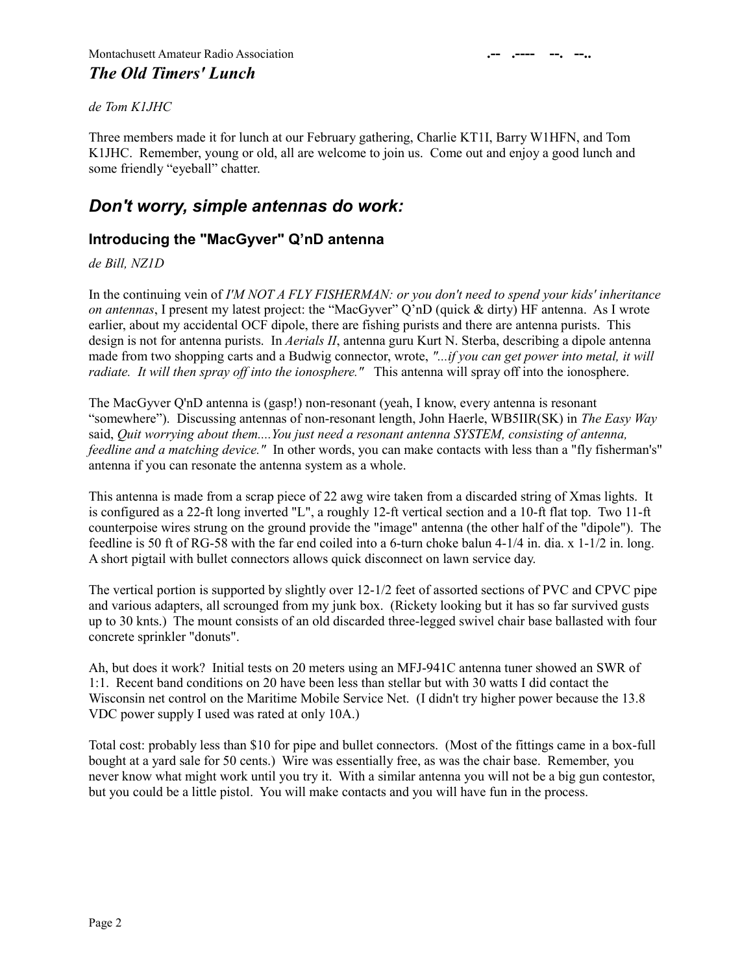#### *de Tom K1JHC*

Three members made it for lunch at our February gathering, Charlie KT1I, Barry W1HFN, and Tom K1JHC. Remember, young or old, all are welcome to join us. Come out and enjoy a good lunch and some friendly "eyeball" chatter.

# *Don't worry, simple antennas do work:*

## **Introducing the "MacGyver" Q'nD antenna**

*de Bill, NZ1D*

In the continuing vein of *I'M NOT A FLY FISHERMAN: or you don't need to spend your kids' inheritance on antennas*, I present my latest project: the "MacGyver" Q'nD (quick & dirty) HF antenna. As I wrote earlier, about my accidental OCF dipole, there are fishing purists and there are antenna purists. This design is not for antenna purists. In *Aerials II*, antenna guru Kurt N. Sterba, describing a dipole antenna made from two shopping carts and a Budwig connector, wrote, *"...if you can get power into metal, it will radiate. It will then spray off into the ionosphere."* This antenna will spray off into the ionosphere.

The MacGyver Q'nD antenna is (gasp!) non-resonant (yeah, I know, every antenna is resonant "somewhere"). Discussing antennas of non-resonant length, John Haerle, WB5IIR(SK) in *The Easy Way*  said, *Quit worrying about them....You just need a resonant antenna SYSTEM, consisting of antenna, feedline and a matching device."* In other words, you can make contacts with less than a "fly fisherman's" antenna if you can resonate the antenna system as a whole.

This antenna is made from a scrap piece of 22 awg wire taken from a discarded string of Xmas lights. It is configured as a 22-ft long inverted "L", a roughly 12-ft vertical section and a 10-ft flat top. Two 11-ft counterpoise wires strung on the ground provide the "image" antenna (the other half of the "dipole"). The feedline is 50 ft of RG-58 with the far end coiled into a 6-turn choke balun 4-1/4 in. dia. x 1-1/2 in. long. A short pigtail with bullet connectors allows quick disconnect on lawn service day.

The vertical portion is supported by slightly over 12-1/2 feet of assorted sections of PVC and CPVC pipe and various adapters, all scrounged from my junk box. (Rickety looking but it has so far survived gusts up to 30 knts.) The mount consists of an old discarded three-legged swivel chair base ballasted with four concrete sprinkler "donuts".

Ah, but does it work? Initial tests on 20 meters using an MFJ-941C antenna tuner showed an SWR of 1:1. Recent band conditions on 20 have been less than stellar but with 30 watts I did contact the Wisconsin net control on the Maritime Mobile Service Net. (I didn't try higher power because the 13.8 VDC power supply I used was rated at only 10A.)

Total cost: probably less than \$10 for pipe and bullet connectors. (Most of the fittings came in a box-full bought at a yard sale for 50 cents.) Wire was essentially free, as was the chair base. Remember, you never know what might work until you try it. With a similar antenna you will not be a big gun contestor, but you could be a little pistol. You will make contacts and you will have fun in the process.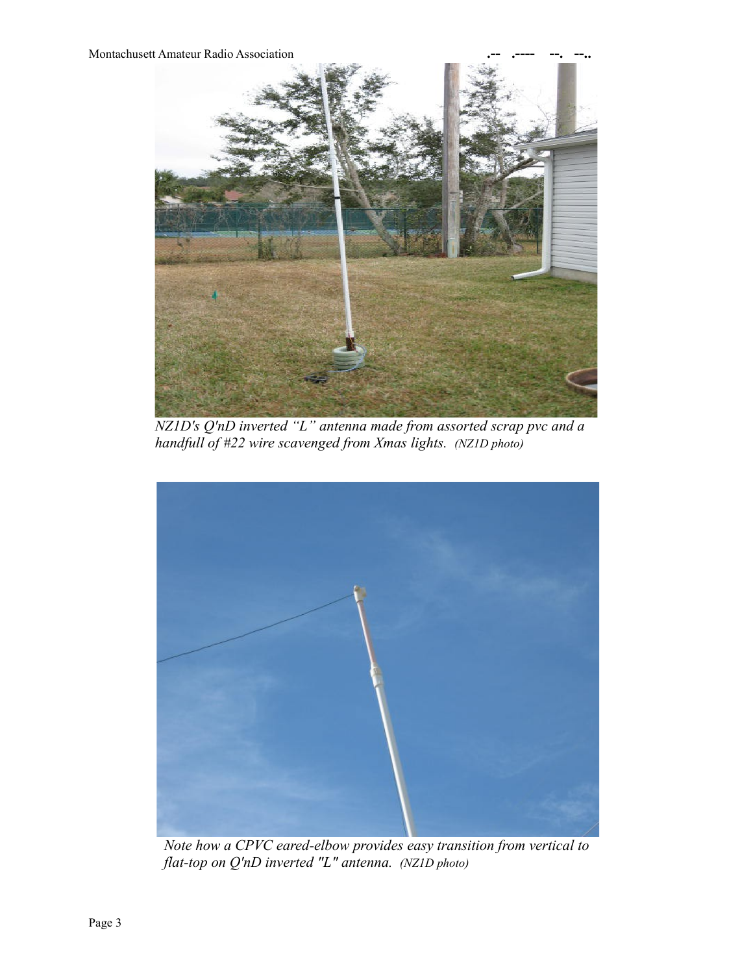**Montachusett Amateur Radio Association** 



*NZ1D's Q'nD inverted "L" antenna made from assorted scrap pvc and a handfull of #22 wire scavenged from Xmas lights. (NZ1D photo)*



*Note how a CPVC eared-elbow provides easy transition from vertical to flat-top on Q'nD inverted "L" antenna. (NZ1D photo)*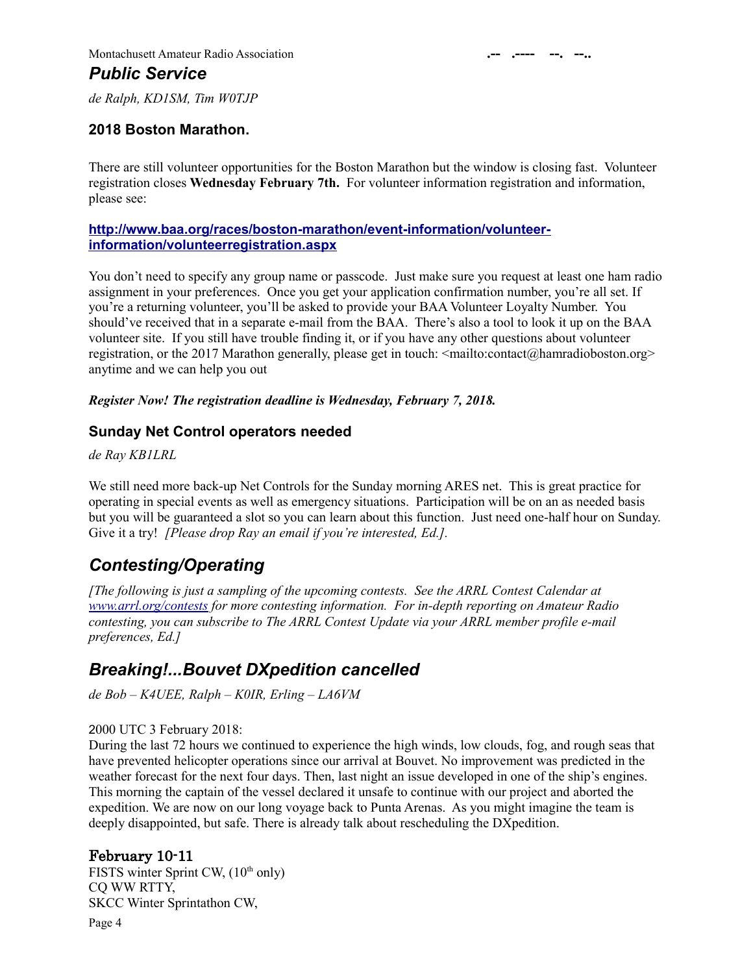*de Ralph, KD1SM, Tim W0TJP*

#### **2018 Boston Marathon.**

There are still volunteer opportunities for the Boston Marathon but the window is closing fast. Volunteer registration closes **Wednesday February 7th.** For volunteer information registration and information, please see:

#### **[http://www.baa.org/races/boston-marathon/event-information/volunteer](http://www.baa.org/races/boston-marathon/event-information/volunteer-information/volunteerregistration.aspx)  [information/volunteerregistration.aspx](http://www.baa.org/races/boston-marathon/event-information/volunteer-information/volunteerregistration.aspx)**

You don't need to specify any group name or passcode. Just make sure you request at least one ham radio assignment in your preferences. Once you get your application confirmation number, you're all set. If you're a returning volunteer, you'll be asked to provide your BAA Volunteer Loyalty Number. You should've received that in a separate e-mail from the BAA. There's also a tool to look it up on the BAA volunteer site. If you still have trouble finding it, or if you have any other questions about volunteer registration, or the 2017 Marathon generally, please get in touch: <mailto:contact@hamradioboston.org> anytime and we can help you out

#### *Register Now! The registration deadline is Wednesday, February 7, 2018.*

#### **Sunday Net Control operators needed**

*de Ray KB1LRL*

We still need more back-up Net Controls for the Sunday morning ARES net. This is great practice for operating in special events as well as emergency situations. Participation will be on an as needed basis but you will be guaranteed a slot so you can learn about this function. Just need one-half hour on Sunday. Give it a try! *[Please drop Ray an email if you're interested, Ed.].*

# *Contesting/Operating*

*[The following is just a sampling of the upcoming contests. See the ARRL Contest Calendar at [www.arrl.org/contests](http://www.arrl.org/contests) for more contesting information. For in-depth reporting on Amateur Radio contesting, you can subscribe to The ARRL Contest Update via your ARRL member profile e-mail preferences, Ed.]*

## *Breaking!...Bouvet DXpedition cancelled*

*de Bob – K4UEE, Ralph – K0IR, Erling – LA6VM*

#### 2000 UTC 3 February 2018:

During the last 72 hours we continued to experience the high winds, low clouds, fog, and rough seas that have prevented helicopter operations since our arrival at Bouvet. No improvement was predicted in the weather forecast for the next four days. Then, last night an issue developed in one of the ship's engines. This morning the captain of the vessel declared it unsafe to continue with our project and aborted the expedition. We are now on our long voyage back to Punta Arenas. As you might imagine the team is deeply disappointed, but safe. There is already talk about rescheduling the DXpedition.

#### February 10-11

FISTS winter Sprint CW,  $(10<sup>th</sup>$  only) CQ WW RTTY, SKCC Winter Sprintathon CW, Page 4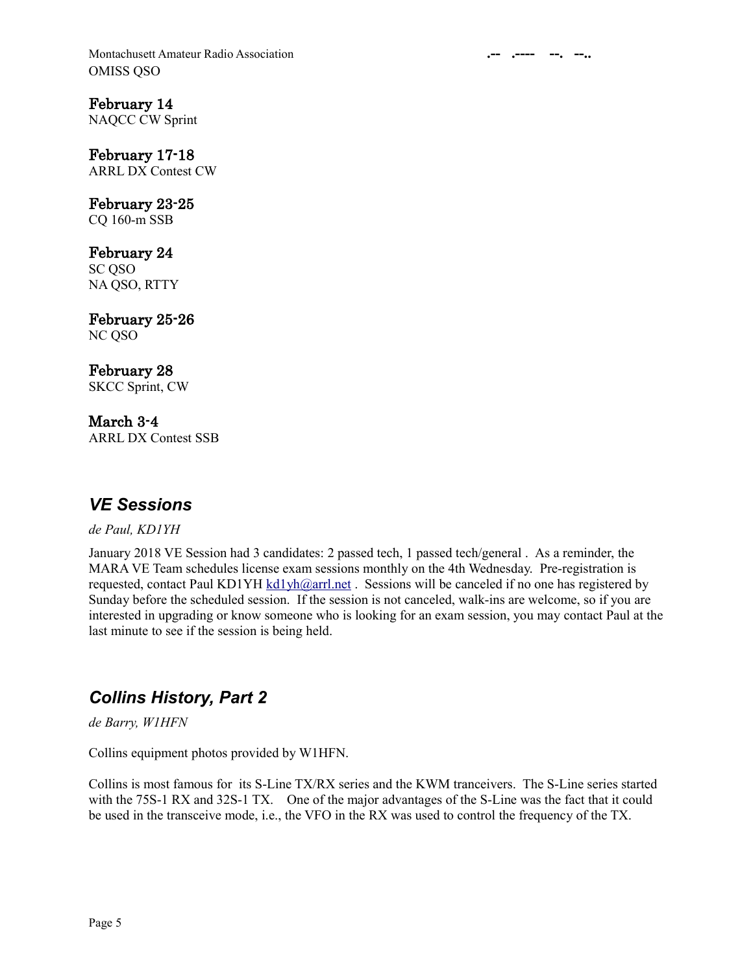Montachusett Amateur Radio Association **.-- .---- --. --..** OMISS QSO

February 14 NAQCC CW Sprint

February 17-18 ARRL DX Contest CW

February 23-25 CQ 160-m SSB

February 24 SC QSO NA QSO, RTTY

February 25-26 NC QSO

February 28 SKCC Sprint, CW

March 3-4 ARRL DX Contest SSB

# *VE Sessions*

*de Paul, KD1YH*

January 2018 VE Session had 3 candidates: 2 passed tech, 1 passed tech/general . As a reminder, the MARA VE Team schedules license exam sessions monthly on the 4th Wednesday. Pre-registration is requested, contact Paul KD1YH [kd1yh@arrl.net](mailto:kd1yh@arrl.net) . Sessions will be canceled if no one has registered by Sunday before the scheduled session. If the session is not canceled, walk-ins are welcome, so if you are interested in upgrading or know someone who is looking for an exam session, you may contact Paul at the last minute to see if the session is being held.

# *Collins History, Part 2*

*de Barry, W1HFN*

Collins equipment photos provided by W1HFN.

Collins is most famous for its S-Line TX/RX series and the KWM tranceivers. The S-Line series started with the 75S-1 RX and 32S-1 TX. One of the major advantages of the S-Line was the fact that it could be used in the transceive mode, i.e., the VFO in the RX was used to control the frequency of the TX.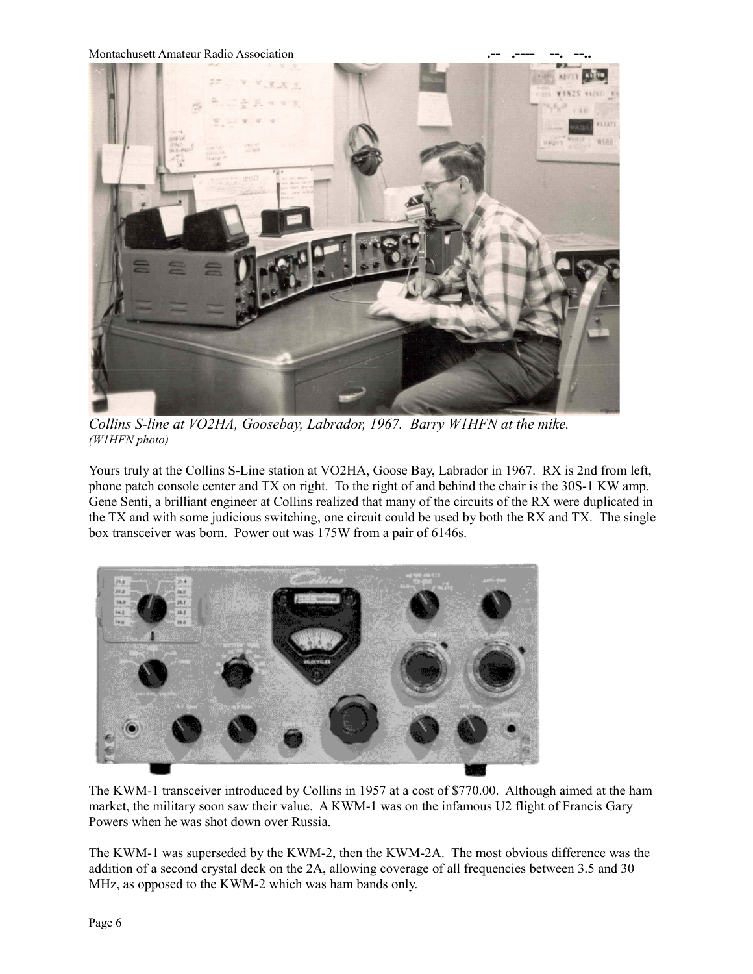**Montachusett Amateur Radio Association** 



*Collins S-line at VO2HA, Goosebay, Labrador, 1967. Barry W1HFN at the mike. (W1HFN photo)*

Yours truly at the Collins S-Line station at VO2HA, Goose Bay, Labrador in 1967. RX is 2nd from left, phone patch console center and TX on right. To the right of and behind the chair is the 30S-1 KW amp. Gene Senti, a brilliant engineer at Collins realized that many of the circuits of the RX were duplicated in the TX and with some judicious switching, one circuit could be used by both the RX and TX. The single box transceiver was born. Power out was 175W from a pair of 6146s.



The KWM-1 transceiver introduced by Collins in 1957 at a cost of \$770.00. Although aimed at the ham market, the military soon saw their value. A KWM-1 was on the infamous U2 flight of Francis Gary Powers when he was shot down over Russia.

The KWM-1 was superseded by the KWM-2, then the KWM-2A. The most obvious difference was the addition of a second crystal deck on the 2A, allowing coverage of all frequencies between 3.5 and 30 MHz, as opposed to the KWM-2 which was ham bands only.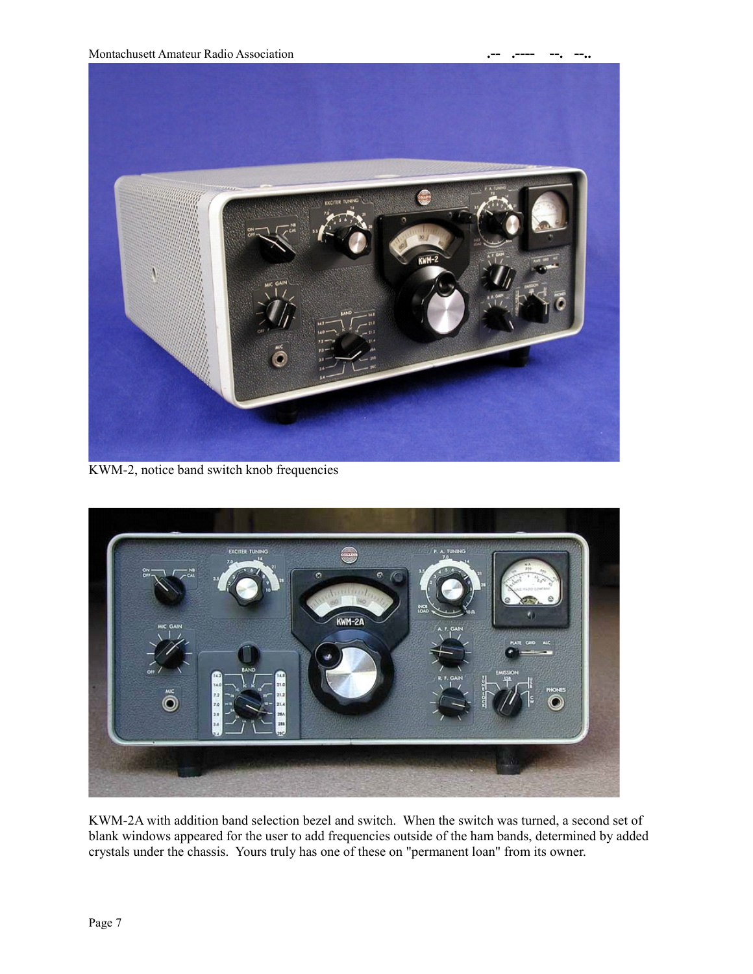

KWM-2, notice band switch knob frequencies



KWM-2A with addition band selection bezel and switch. When the switch was turned, a second set of blank windows appeared for the user to add frequencies outside of the ham bands, determined by added crystals under the chassis. Yours truly has one of these on "permanent loan" from its owner.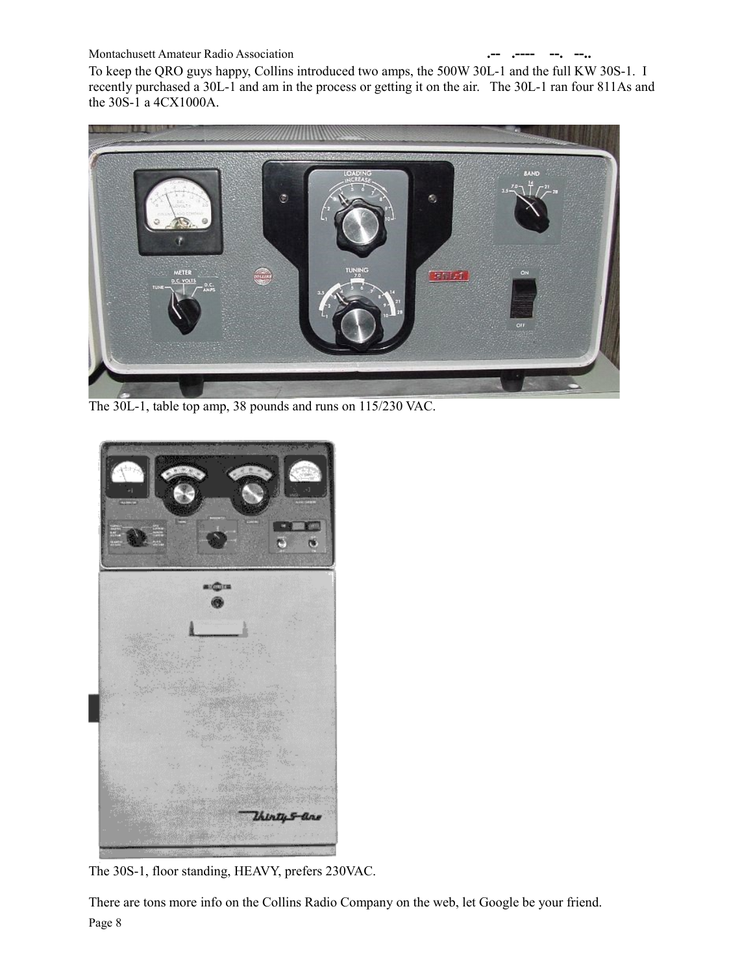#### **Montachusett Amateur Radio Association**

To keep the QRO guys happy, Collins introduced two amps, the 500W 30L-1 and the full KW 30S-1. I recently purchased a 30L-1 and am in the process or getting it on the air. The 30L-1 ran four 811As and the 30S-1 a 4CX1000A.



The 30L-1, table top amp, 38 pounds and runs on 115/230 VAC.



The 30S-1, floor standing, HEAVY, prefers 230VAC.

There are tons more info on the Collins Radio Company on the web, let Google be your friend. Page 8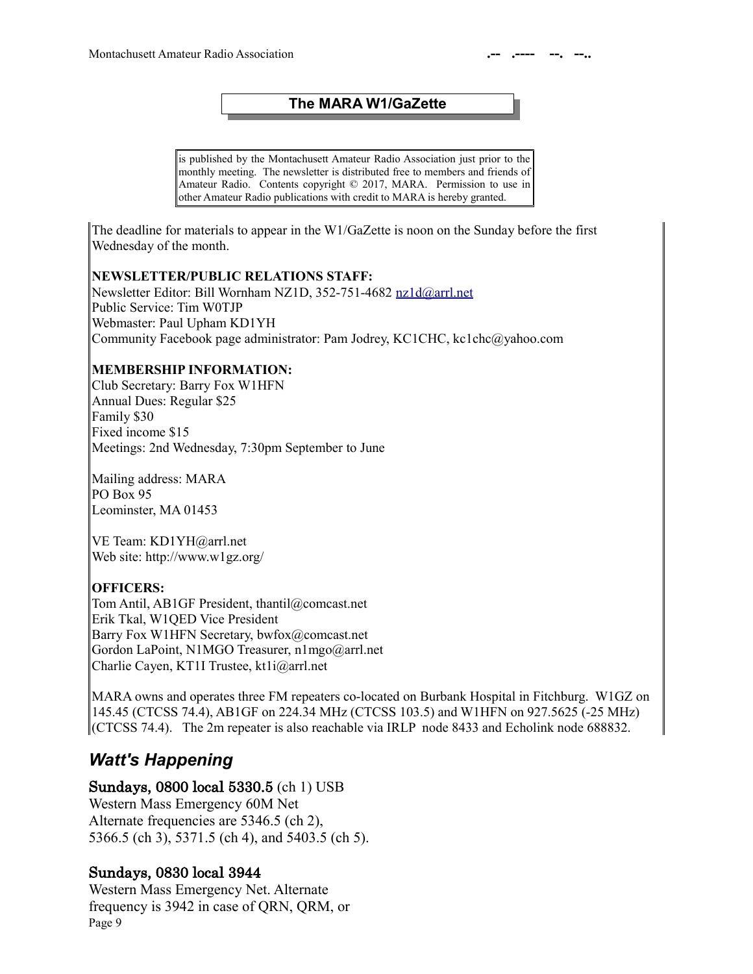### **The MARA W1/GaZette**

is published by the Montachusett Amateur Radio Association just prior to the monthly meeting. The newsletter is distributed free to members and friends of Amateur Radio. Contents copyright © 2017, MARA. Permission to use in other Amateur Radio publications with credit to MARA is hereby granted.

The deadline for materials to appear in the W1/GaZette is noon on the Sunday before the first Wednesday of the month.

#### **NEWSLETTER/PUBLIC RELATIONS STAFF:**

Newsletter Editor: Bill Wornham NZ1D, 352-751-4682 [nz1d@arrl.net](mailto:nz1d@arrl.net) Public Service: Tim W0TJP Webmaster: Paul Upham KD1YH Community Facebook page administrator: Pam Jodrey, KC1CHC, kc1chc@yahoo.com

### **MEMBERSHIP INFORMATION:**

Club Secretary: Barry Fox W1HFN Annual Dues: Regular \$25 Family \$30 Fixed income \$15 Meetings: 2nd Wednesday, 7:30pm September to June

Mailing address: MARA PO Box 95 Leominster, MA 01453

VE Team: KD1YH@arrl.net Web site: http://www.w1gz.org/

## **OFFICERS:**

Tom Antil, AB1GF President, thantil@comcast.net Erik Tkal, W1QED Vice President Barry Fox W1HFN Secretary, bwfox@comcast.net Gordon LaPoint, N1MGO Treasurer, n1mgo@arrl.net Charlie Cayen, KT1I Trustee, kt1i@arrl.net

MARA owns and operates three FM repeaters co-located on Burbank Hospital in Fitchburg. W1GZ on 145.45 (CTCSS 74.4), AB1GF on 224.34 MHz (CTCSS 103.5) and W1HFN on 927.5625 (-25 MHz) (CTCSS 74.4). The 2m repeater is also reachable via IRLP node 8433 and Echolink node 688832.

# *Watt's Happening*

#### Sundays, 0800 local 5330.5 (ch 1) USB

Western Mass Emergency 60M Net Alternate frequencies are 5346.5 (ch 2), 5366.5 (ch 3), 5371.5 (ch 4), and 5403.5 (ch 5).

## Sundays, 0830 local 3944

Western Mass Emergency Net. Alternate frequency is 3942 in case of QRN, QRM, or Page 9